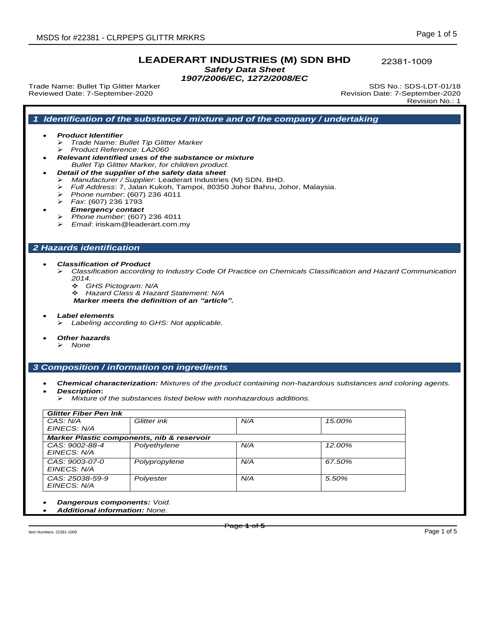22381-1009

*Safety Data Sheet 1907/2006/EC, 1272/2008/EC* 

*1 Identification of the substance / mixture and of the company / undertaking*

Trade Name: Bullet Tip Glitter Marker SDS No.: SDS-LDT-01/18 Reviewed Date: 7-September-2020 Revision Date: 7-September-2020

*Product Identifier*

Revision No.: 1

# Page **1** of **5** *Trade Name: Bullet Tip Glitter Marker Product Reference: LA2060 Relevant identified uses of the substance or mixture Bullet Tip Glitter Marker, for children product. Detail of the supplier of the safety data sheet Manufacturer / Supplier*: Leaderart Industries (M) SDN. BHD. *Full Address*: 7, Jalan Kukoh, Tampoi, 80350 Johor Bahru, Johor, Malaysia. *Phone number*: (607) 236 4011 *Fax*: (607) 236 1793 *Emergency contact Phone number*: (607) 236 4011 *Email*: iriskam@leaderart.com.my *2 Hazards identification Classification of Product Classification according to Industry Code Of Practice on Chemicals Classification and Hazard Communication 2014. GHS Pictogram: N/A Hazard Class & Hazard Statement: N/A Marker meets the definition of an "article". Label elements Labeling according to GHS: Not applicable. Other hazards None 3 Composition / information on ingredients Chemical characterization: Mixtures of the product containing non-hazardous substances and coloring agents. Description***:** *Mixture of the substances listed below with nonhazardous additions. Glitter Fiber Pen Ink CAS: N/A EINECS: N/A Glitter ink N/A 15.00% Marker Plastic components, nib & reservoir CAS: 9002-88-4 EINECS: N/A Polyethylene N/A 12.00% CAS: 9003-07-0 EINECS: N/A Polypropylene N/A 67.50% CAS: 25038-59-9 EINECS: N/A Polyester N/A 5.50% Dangerous components: Void. Additional information: None.* Item Numbers: 22381-1009 Page 1 of 5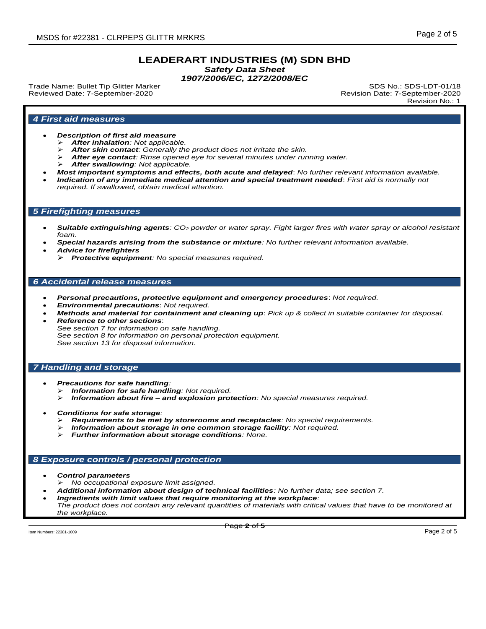*Safety Data Sheet*

*1907/2006/EC, 1272/2008/EC*

Trade Name: Bullet Tip Glitter Marker Subsection SDS No.: SDS-LDT-01/18 Reviewed Date: 7-September-2020 Revision Date: 7-September-2020

Revision No.: 1

## *4 First aid measures*

- *Description of first aid measure*
	- *After inhalation: Not applicable.*
	- *After skin contact: Generally the product does not irritate the skin.*
	- *After eye contact: Rinse opened eye for several minutes under running water.*
	- *After swallowing: Not applicable.*
- *Most important symptoms and effects, both acute and delayed*: *No further relevant information available.*
- *Indication of any immediate medical attention and special treatment needed*: *First aid is normally not required. If swallowed, obtain medical attention.*

#### *5 Firefighting measures*

- *Suitable extinguishing agents: CO<sup>2</sup> powder or water spray. Fight larger fires with water spray or alcohol resistant foam.*
- *Special hazards arising from the substance or mixture: No further relevant information available.*
- *Advice for firefighters*
	- *Protective equipment: No special measures required.*

## *6 Accidental release measures*

- *Personal precautions, protective equipment and emergency procedures*: *Not required.*
- *Environmental precautions*: *Not required.*
- *Methods and material for containment and cleaning up*: *Pick up & collect in suitable container for disposal. Reference to other sections*:
- *See section 7 for information on safe handling. See section 8 for information on personal protection equipment. See section 13 for disposal information.*

#### *7 Handling and storage*

- *Precautions for safe handling:*
	- *Information for safe handling: Not required.*
	- *Information about fire – and explosion protection: No special measures required.*
- *Conditions for safe storage:*
	- *Requirements to be met by storerooms and receptacles: No special requirements.*
	- *Information about storage in one common storage facility: Not required.*
	- *Further information about storage conditions: None.*

### *8 Exposure controls / personal protection*

- *Control parameters*
- *No occupational exposure limit assigned.*
- *Additional information about design of technical facilities: No further data; see section 7.*
- *Ingredients with limit values that require monitoring at the workplace: The product does not contain any relevant quantities of materials with critical values that have to be monitored at the workplace.*

Item Numbers: 22381-1009 Page 2 of 5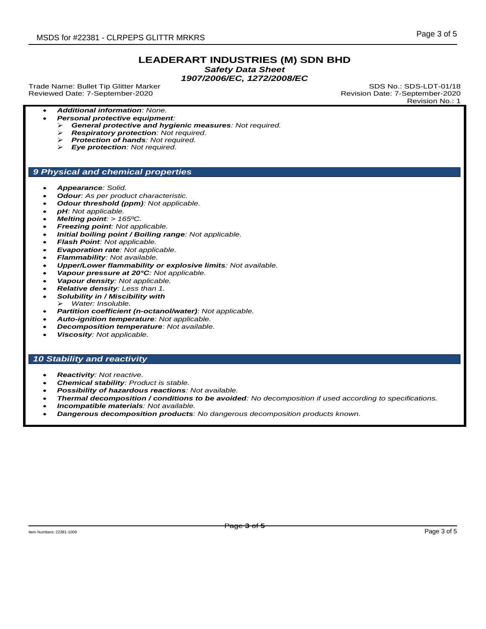*Safety Data Sheet*

*1907/2006/EC, 1272/2008/EC*

Trade Name: Bullet Tip Glitter Marker SDS No.: SDS-LDT-01/18 Reviewed Date: 7-September-2020 Revision Date: 7-September-2020

Revision No.: 1

- *Additional information: None.*
	- *Personal protective equipment:*
	- *General protective and hygienic measures: Not required.*
	- *Respiratory protection: Not required.*
	- *Protection of hands: Not required.*
	- *Eye protection: Not required.*

### *9 Physical and chemical properties*

- *Appearance: Solid.*
- *Odour: As per product characteristic.*
- *Odour threshold (ppm): Not applicable.*
- *pH: Not applicable.*
- *Melting point: > 165ºC.*
- *Freezing point: Not applicable.*
- *Initial boiling point / Boiling range: Not applicable.*
- *Flash Point: Not applicable.*
- *Evaporation rate: Not applicable.*
- *Flammability: Not available.*
- *Upper/Lower flammability or explosive limits: Not available.*
- *Vapour pressure at 20°C: Not applicable.*
- *Vapour density: Not applicable.*
- *Relative density: Less than 1.*
- *Solubility in / Miscibility with Water: Insoluble.*
- *Partition coefficient (n-octanol/water): Not applicable.*
- *Auto-ignition temperature: Not applicable.*
- *Decomposition temperature: Not available.*
- *Viscosity: Not applicable.*

## *10 Stability and reactivity*

- *Reactivity: Not reactive.*
- *Chemical stability: Product is stable.*
- *Possibility of hazardous reactions: Not available.*
- *Thermal decomposition / conditions to be avoided: No decomposition if used according to specifications.*
- *Incompatible materials: Not available.*
- *Dangerous decomposition products: No dangerous decomposition products known.*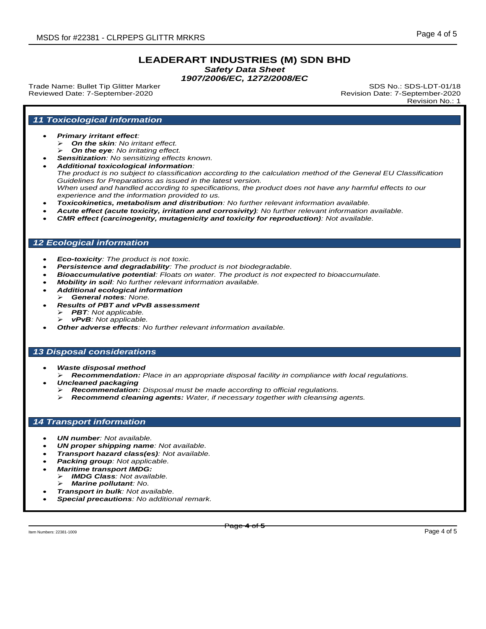*Safety Data Sheet*

*1907/2006/EC, 1272/2008/EC*

Trade Name: Bullet Tip Glitter Marker Subsection SDS No.: SDS-LDT-01/18 Reviewed Date: 7-September-2020 Revision Date: 7-September-2020

Revision No.: 1

# *11 Toxicological information*

#### *Primary irritant effect:*

- *On the skin: No irritant effect.*
- *On the eye: No irritating effect.*
- *Sensitization: No sensitizing effects known.*
- *Additional toxicological information: The product is no subject to classification according to the calculation method of the General EU Classification Guidelines for Preparations as issued in the latest version.* When used and handled according to specifications, the product does not have any harmful effects to our *experience and the information provided to us.*
- *Toxicokinetics, metabolism and distribution: No further relevant information available.*
- *Acute effect (acute toxicity, irritation and corrosivity): No further relevant information available.*
- *CMR effect (carcinogenity, mutagenicity and toxicity for reproduction): Not available.*

## *12 Ecological information*

- *Eco-toxicity: The product is not toxic.*
- *Persistence and degradability: The product is not biodegradable.*
- *Bioaccumulative potential: Floats on water. The product is not expected to bioaccumulate.*
- *Mobility in soil: No further relevant information available.*
- *Additional ecological information General notes: None.*
- *Results of PBT and vPvB assessment PBT: Not applicable.*
	- *vPvB: Not applicable.*
- *Other adverse effects: No further relevant information available.*

# *13 Disposal considerations*

- *Waste disposal method*
- *Recommendation: Place in an appropriate disposal facility in compliance with local regulations. Uncleaned packaging*
	- *Recommendation: Disposal must be made according to official regulations.*
	- *Recommend cleaning agents: Water, if necessary together with cleansing agents.*

#### *14 Transport information*

- *UN number: Not available.*
- *UN proper shipping name: Not available.*
- *Transport hazard class(es): Not available.*
- *Packing group: Not applicable.*
- *Maritime transport IMDG:*
	- *IMDG Class: Not available.*
	- *Marine pollutant: No.*
- *Transport in bulk: Not available.*
- *Special precautions: No additional remark.*